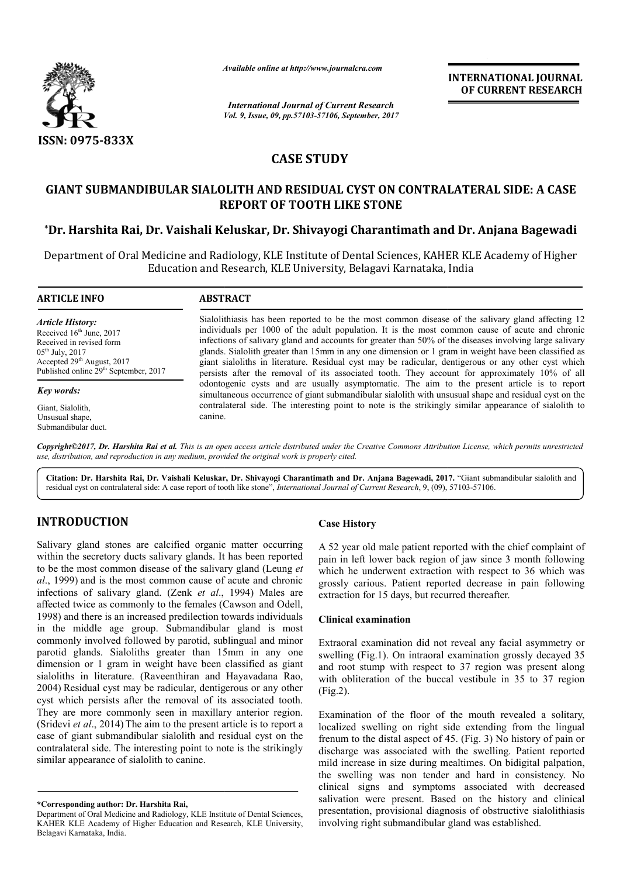

*Available online at http://www.journal http://www.journalcra.com*

*Vol. 9, Issue, 09, pp.57103-57106, September, 2017 International Journal of Current Research*

**INTERNATIONAL JOURNAL OF CURRENT RESEARCH** 

# **CASE STUDY**

## **GIANT SUBMANDIBULAR SIALOLITH AND RESIDUAL CYST ON CONTRALATERAL SIDE: A CASE REPORT OF TOOTH LIKE STONE**

## **\*Dr. Harshita Rai, Dr. Vaishali Keluskar, Dr. Shivayogi Charantimath and Dr. Anjana Bagewadi**

Department of Oral Medicine and Radiology, KLE Institute of Dental Sciences, KAHER KLE Academy of Higher<br>Education and Research, KLE University, Belagavi Karnataka, India Education and Research, KLE University, Belagavi Karnataka, India

**ARTICLE INFO ABSTRACT**

*Article History:* Received 16<sup>th</sup> June, 2017 Received in revised form 05th July, 2017 Accepted 29<sup>th</sup> August, 2017 Published online 29<sup>th</sup> September, 2017

*Key words:*

Giant, Sialolith, Unsusual shape, Submandibular duct.

Sialolithiasis has been reported to be the most common disease of the salivary gland affecting 12 individuals per 1000 of the adult population. It is the most common cause of acute and chronic infections of salivary gland and accounts for greater than 50% of the diseases involving large salivary glands. Sialol Sialolith greater than 15mm in any one dimension or 1 gram in weight have been classified as giant sialoliths in literature. Residual cyst may be radicular, dentigerous or any other cyst which persists after the removal of its associated tooth. They account for approximately 10% of all odontogenic cysts and are usually asymptomatic. The aim to the present article is to report simultaneous occurrence of giant submandibular sialolith with unsusual shape and residual cyst on the contralateral side. The interesting point to note is the strikingly similar appearance of sialolith to canine. Sialolithiasis has been reported to be the most common disease of the salivary gland affecting 12 individuals per 1000 of the adult population. It is the most common cause of acute and chronic infections of salivary gland odontogenic cysts and are usually asymptomatic. The aim to the present article is simultaneous occurrence of giant submandibular sialolith with unsusual shape and residual contralateral side. The interesting point to note **INTERNATIONAL JOURNAL**<br> **OF CURRENT RESEARCH**<br> **OF CURRENT RESEARCH**<br> **OF CURRENT RESEARCH**<br> **DV**<br> **DV**<br> **DV**<br> **DV**<br> **DV**<br> **DV**<br> **DV**<br> **DV**<br> **DV**<br> **DV**<br> **DV**<br> **DV**<br> **DV**<br> **DV**<br> **DV**<br> **DV**<br> **DV**<br> **DV**<br> **DV**<br> **DV**<br> **DV**<br>

*Copyright©2017, Dr. Harshita Rai et al. This is an open access article distributed under the Creative Commons Att Attribution License, which ribution License, which permits unrestricted use, distribution, and reproduction in any medium, provided the original work is properly cited.*

Citation: Dr. Harshita Rai, Dr. Vaishali Keluskar, Dr. Shivayogi Charantimath and Dr. Anjana Bagewadi, 2017. "Giant submandibular sialolith and residual cyst on contralateral side: A case report of tooth like stone", *International Journal of Current Research*, 9, (09), 57103-57106.

# **INTRODUCTION**

Salivary gland stones are calcified organic matter occurring within the secretory ducts salivary glands. It has been reported to be the most common disease of the salivary gland (Leung *et al*., 1999) and is the most common cause of acute and chronic infections of salivary gland. (Zenk *et al*., 1994) Males are affected twice as commonly to the females (Cawson and Odell, 1998) and there is an increased predilection towards individuals in the middle age group. Submandibular gland is most commonly involved followed by parotid, sublingual and minor parotid glands. Sialoliths greater than 15mm in any one dimension or 1 gram in weight have been classified as giant sialoliths in literature. (Raveenthiran and Hayavadana Rao, 2004) Residual cyst may be radicular, dentigerous or any other cyst which persists after the removal of its associated tooth. They are more commonly seen in maxillary anterior region. (Sridevi *et al*., 2014) The aim to the present article is to report a case of giant submandibular sialolith and residual cyst on the contralateral side. The interesting point to note is the strikingly similar appearance of sialolith to canine. ed by parotid, sublingual and minor<br>greater than 15mm in any one<br>eight have been classified as giant<br>aveenthiran and Hayavadana Rao,<br>e radicular, dentigerous or any other

## **Case History**

A 52 year old male patient reported with the chief complaint of pain in left lower back region of jaw since 3 month following which he underwent extraction with respect to 36 which was grossly carious. Patient reported decrease in pain following extraction for 15 days, but recurred thereafter. year old male patient reported with the chief complaint of<br>in left lower back region of jaw since 3 month following<br>ly carious. Patient reported decrease in pain following<br>tion for 15 days, but recurred thereafter.<br>cal exa

#### **Clinical examination**

Extraoral examination did not reveal any facial asymmetry or swelling (Fig.1). On intraoral examination grossly decayed 35 and root stump with respect to 37 region was present along with obliteration of the buccal vestibule in 35 to 37 region (Fig.2).

Examination of the floor of the mouth revealed a solitary, localized swelling on right side extending from the lingual frenum to the distal aspect of 45. (Fig. 3) No history of pain or discharge was associated with the swelling. Patient reported mild increase in size during mealtimes. On bidigital palpation, the swelling was non tender and hard in consistency. No clinical signs and symptoms associated with decreased salivation were present. Based on the history and clinical presentation, provisional diagnosis of obstructive sialolithiasis involving right submandibular gland was established.

**<sup>\*</sup>Corresponding author: Dr. Harshita Rai,**

Department of Oral Medicine and Radiology, KLE Institute of Dental Sciences, KAHER KLE Academy of Higher Education and Research, KLE University, Belagavi Karnataka, India.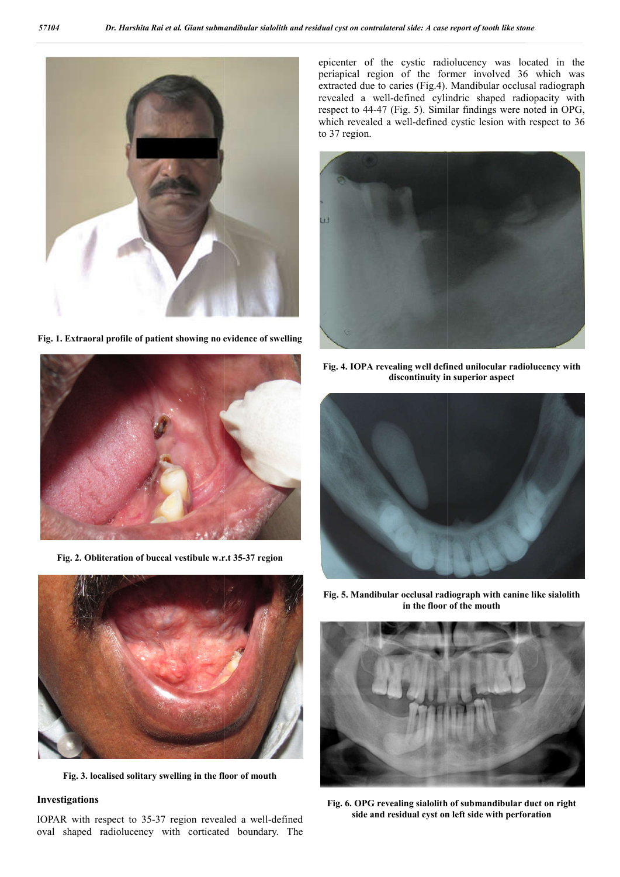

**Fig. 1. Extraoral profile of patient showing no evidence of swelling**

epicenter of the cystic radiolucency was located in the epicenter of the cystic radiolucency was located in the periapical region of the former involved 36 which was extracted due to caries (Fig.4). Mandibular occlusal radiograph revealed a well-defined cylindric shaped radiopacity with extracted due to caries (Fig.4). Mandibular occlusal radiograph<br>revealed a well-defined cylindric shaped radiopacity with<br>respect to 44-47 (Fig. 5). Similar findings were noted in OPG, which revealed a well-defined cystic lesion with respect to 36 to 37 region.



**Fig. 4. IOPA revealing well defined unilocular radiolucency with discontinuity in superior aspect discontinuity in superior aspect**





**Fig. 3. localised solitary swelling in the floor of mouth**

### **Investigations**

IOPAR with respect to 35-37 region revealed a well-defined oval shaped radiolucency with corticated boundary. The

Fig. 5. Mandibular occlusal radiograph with canine like sialolith **in the floor of the mouth**



**Fig. 6. OPG revealing sialolith of submandibular duct on right side and residual cyst on left side with perforation**



**Fig. 2. Obliteration of buccal vestibule w.r.t 35 35-37 region**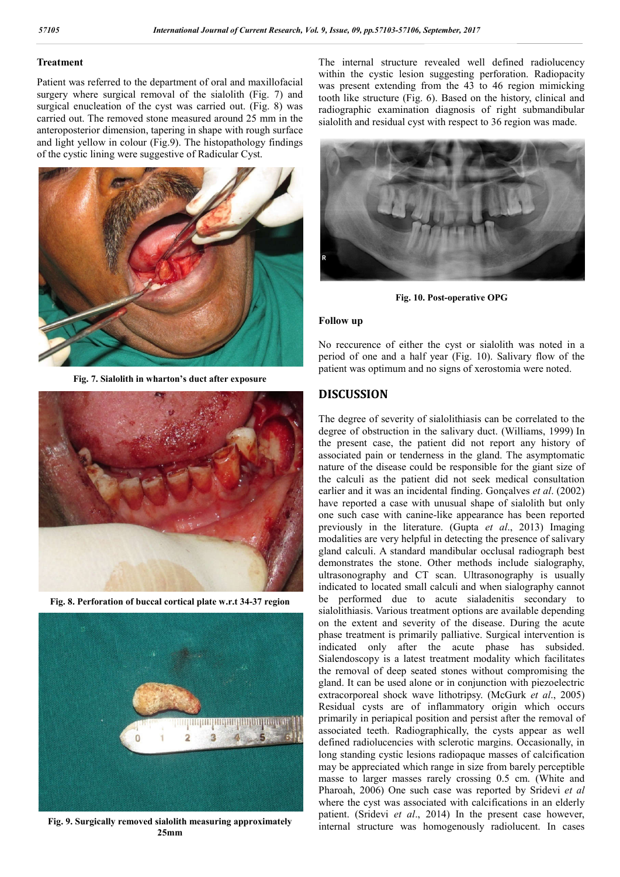#### **Treatment**

Patient was referred to the department of oral and maxillofacial surgery where surgical removal of the sialolith (Fig. 7) and surgical enucleation of the cyst was carried out. (Fig. 8) was carried out. The removed stone measured around 25 mm in the anteroposterior dimension, tapering in shape with rough surface and light yellow in colour (Fig.9). The histopathology findings of the cystic lining were suggestive of Radicular Cyst.



**Fig. 7. Sialolith in wharton's duct after exposure**



**Fig. 8. Perforation of buccal cortical plate w.r.t 34-37 region**



**Fig. 9. Surgically removed sialolith measuring approximately 25mm**

The internal structure revealed well defined radiolucency within the cystic lesion suggesting perforation. Radiopacity was present extending from the 43 to 46 region mimicking tooth like structure (Fig. 6). Based on the history, clinical and radiographic examination diagnosis of right submandibular sialolith and residual cyst with respect to 36 region was made.



**Fig. 10. Post-operative OPG**

#### **Follow up**

No reccurence of either the cyst or sialolith was noted in a period of one and a half year (Fig. 10). Salivary flow of the patient was optimum and no signs of xerostomia were noted.

## **DISCUSSION**

The degree of severity of sialolithiasis can be correlated to the degree of obstruction in the salivary duct. (Williams, 1999) In the present case, the patient did not report any history of associated pain or tenderness in the gland. The asymptomatic nature of the disease could be responsible for the giant size of the calculi as the patient did not seek medical consultation earlier and it was an incidental finding. Gonçalves *et al*. (2002) have reported a case with unusual shape of sialolith but only one such case with canine-like appearance has been reported previously in the literature. (Gupta *et al*., 2013) Imaging modalities are very helpful in detecting the presence of salivary gland calculi. A standard mandibular occlusal radiograph best demonstrates the stone. Other methods include sialography, ultrasonography and CT scan. Ultrasonography is usually indicated to located small calculi and when sialography cannot be performed due to acute sialadenitis secondary to sialolithiasis. Various treatment options are available depending on the extent and severity of the disease. During the acute phase treatment is primarily palliative. Surgical intervention is indicated only after the acute phase has subsided. Sialendoscopy is a latest treatment modality which facilitates the removal of deep seated stones without compromising the gland. It can be used alone or in conjunction with piezoelectric extracorporeal shock wave lithotripsy. (McGurk *et al*., 2005) Residual cysts are of inflammatory origin which occurs primarily in periapical position and persist after the removal of associated teeth. Radiographically, the cysts appear as well defined radiolucencies with sclerotic margins. Occasionally, in long standing cystic lesions radiopaque masses of calcification may be appreciated which range in size from barely perceptible masse to larger masses rarely crossing 0.5 cm. (White and Pharoah, 2006) One such case was reported by Sridevi *et al* where the cyst was associated with calcifications in an elderly patient. (Sridevi *et al*., 2014) In the present case however, internal structure was homogenously radiolucent. In cases